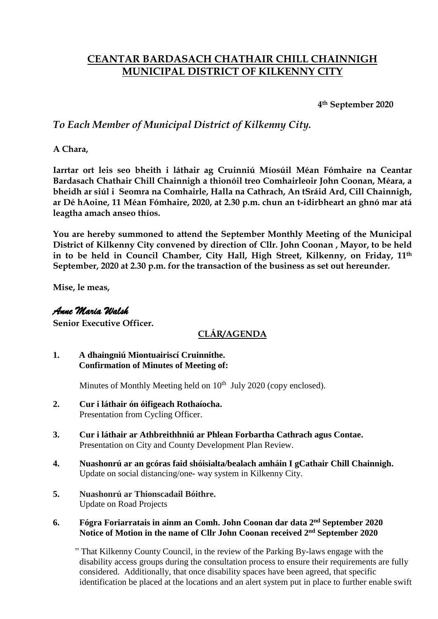# **CEANTAR BARDASACH CHATHAIR CHILL CHAINNIGH MUNICIPAL DISTRICT OF KILKENNY CITY**

**4th September 2020**

## *To Each Member of Municipal District of Kilkenny City.*

**A Chara,**

**Iarrtar ort leis seo bheith i láthair ag Cruinniú Míosúil Méan Fómhaire na Ceantar Bardasach Chathair Chill Chainnigh a thionóil treo Comhairleoir John Coonan, Méara, a bheidh ar siúl i Seomra na Comhairle, Halla na Cathrach, An tSráid Ard, Cill Chainnigh, ar Dé hAoine, 11 Méan Fómhaire, 2020, at 2.30 p.m. chun an t-idirbheart an ghnó mar atá leagtha amach anseo thíos.**

**You are hereby summoned to attend the September Monthly Meeting of the Municipal District of Kilkenny City convened by direction of Cllr. John Coonan , Mayor, to be held in to be held in Council Chamber, City Hall, High Street, Kilkenny, on Friday, 11th September, 2020 at 2.30 p.m. for the transaction of the business as set out hereunder.**

**Mise, le meas,**

#### *Anne Maria Walsh*

**Senior Executive Officer.**

### **CLÁR/AGENDA**

**1. A dhaingniú Miontuairiscí Cruinnithe. Confirmation of Minutes of Meeting of:**

Minutes of Monthly Meeting held on  $10<sup>th</sup>$  July 2020 (copy enclosed).

- **2. Cur i láthair ón óifigeach Rothaíocha.** Presentation from Cycling Officer.
- **3. Cur i láthair ar Athbreithhniú ar Phlean Forbartha Cathrach agus Contae.** Presentation on City and County Development Plan Review.
- **4. Nuashonrú ar an gcóras faid shóisialta/bealach amháin I gCathair Chill Chainnigh.** Update on social distancing/one- way system in Kilkenny City.
- **5. Nuashonrú ar Thionscadail Bóithre.** Update on Road Projects
- **6. Fógra Foriarratais in ainm an Comh. John Coonan dar data 2 nd September 2020 Notice of Motion in the name of Cllr John Coonan received 2 nd September 2020**

 " That Kilkenny County Council, in the review of the Parking By-laws engage with the disability access groups during the consultation process to ensure their requirements are fully considered. Additionally, that once disability spaces have been agreed, that specific identification be placed at the locations and an alert system put in place to further enable swift